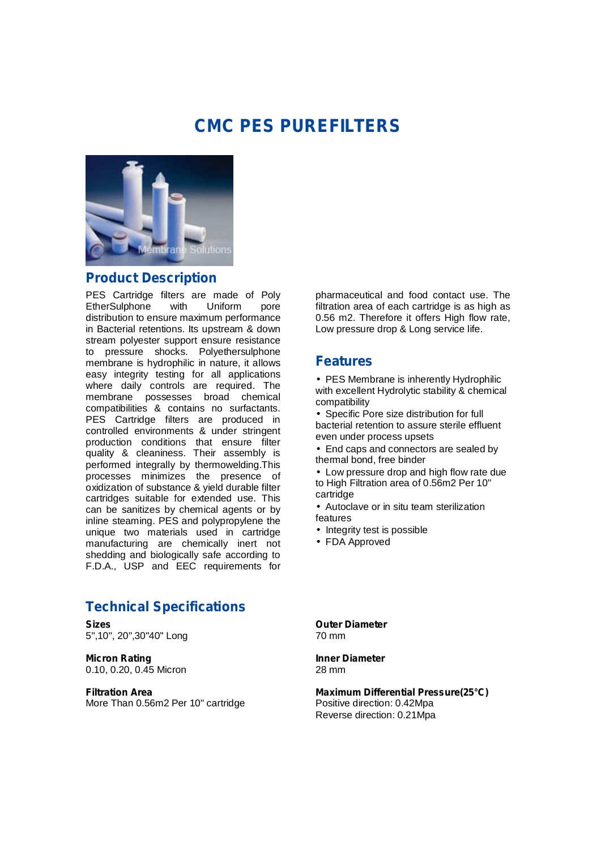# **CMC PES PUREFILTERS**



#### **Product Description**

PES Cartridge filters are made of Poly<br>EtherSulphone with Uniform pore EtherSulphone with Uniform pore distribution to ensure maximum performance in Bacterial retentions. Its upstream & down stream polyester support ensure resistance to pressure shocks. Polyethersulphone membrane is hydrophilic in nature, it allows easy integrity testing for all applications where daily controls are required. The membrane possesses broad chemical compatibilities & contains no surfactants. PES Cartridge filters are produced in controlled environments & under stringent production conditions that ensure filter quality & cleaniness. Their assembly is performed integrally by thermowelding.This processes minimizes the presence of oxidization of substance & yield durable filter cartridges suitable for extended use. This can be sanitizes by chemical agents or by inline steaming. PES and polypropylene the unique two materials used in cartridge manufacturing are chemically inert not shedding and biologically safe according to F.D.A., USP and EEC requirements for

### **Technical Specifications**

**Sizes** 5",10", 20",30"40" Long

**Micron Rating** 0.10, 0.20, 0.45 Micron

**Filtration Area** More Than 0.56m2 Per 10" cartridge pharmaceutical and food contact use. The filtration area of each cartridge is as high as 0.56 m2. Therefore it offers High flow rate, Low pressure drop & Long service life.

#### **Features**

• PES Membrane is inherently Hydrophilic with excellent Hydrolytic stability & chemical compatibility

• Specific Pore size distribution for full bacterial retention to assure sterile effluent even under process upsets

• End caps and connectors are sealed by thermal bond, free binder

• Low pressure drop and high flow rate due to High Filtration area of 0.56m2 Per 10" cartridge

• Autoclave or in situ team sterilization features

- Integrity test is possible
- FDA Approved

**Outer Diameter** 70 mm

**Inner Diameter** 28 mm

**Maximum Differential Pressure(25°C)** Positive direction: 0.42Mpa Reverse direction: 0.21Mpa